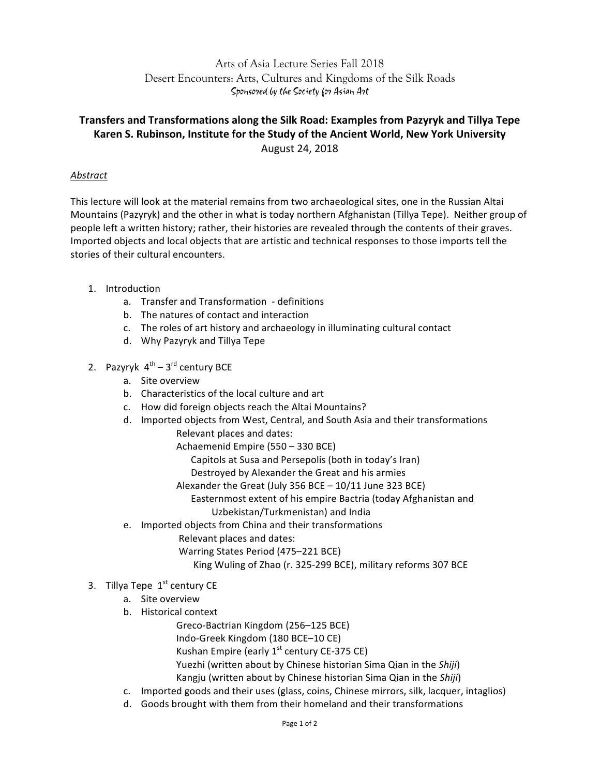## Arts of Asia Lecture Series Fall 2018 Desert Encounters: Arts, Cultures and Kingdoms of the Silk Roads Sponsored by the Society for Asian Art

# **Transfers and Transformations along the Silk Road: Examples from Pazyryk and Tillya Tepe** Karen S. Rubinson, Institute for the Study of the Ancient World, New York University August 24, 2018

### *Abstract*

This lecture will look at the material remains from two archaeological sites, one in the Russian Altai Mountains (Pazyryk) and the other in what is today northern Afghanistan (Tillya Tepe). Neither group of people left a written history; rather, their histories are revealed through the contents of their graves. Imported objects and local objects that are artistic and technical responses to those imports tell the stories of their cultural encounters.

- 1. Introduction
	- a. Transfer and Transformation definitions
	- b. The natures of contact and interaction
	- c. The roles of art history and archaeology in illuminating cultural contact
	- d. Why Pazyryk and Tillya Tepe
- 2. Pazyryk  $4^{th} 3^{rd}$  century BCE
	- a. Site overview
	- b. Characteristics of the local culture and art
	- c. How did foreign objects reach the Altai Mountains?
	- d. Imported objects from West, Central, and South Asia and their transformations
		- Relevant places and dates:

Achaemenid Empire (550 - 330 BCE)

Capitols at Susa and Persepolis (both in today's Iran)

Destroyed by Alexander the Great and his armies

- Alexander the Great (July 356 BCE  $10/11$  June 323 BCE)
- Easternmost extent of his empire Bactria (today Afghanistan and Uzbekistan/Turkmenistan) and India
- e. Imported objects from China and their transformations
	- Relevant places and dates:
	- Warring States Period (475–221 BCE)
		- King Wuling of Zhao (r. 325-299 BCE), military reforms 307 BCE

### 3. Tillya Tepe  $1<sup>st</sup>$  century CE

- a. Site overview
- b. Historical context
	- Greco-Bactrian Kingdom (256–125 BCE)
	- Indo-Greek Kingdom (180 BCE–10 CE)
	- Kushan Empire (early  $1^{st}$  century CE-375 CE)
	- Yuezhi (written about by Chinese historian Sima Qian in the Shiji)
	- Kangju (written about by Chinese historian Sima Qian in the Shiji)
- c. Imported goods and their uses (glass, coins, Chinese mirrors, silk, lacquer, intaglios)
- d. Goods brought with them from their homeland and their transformations